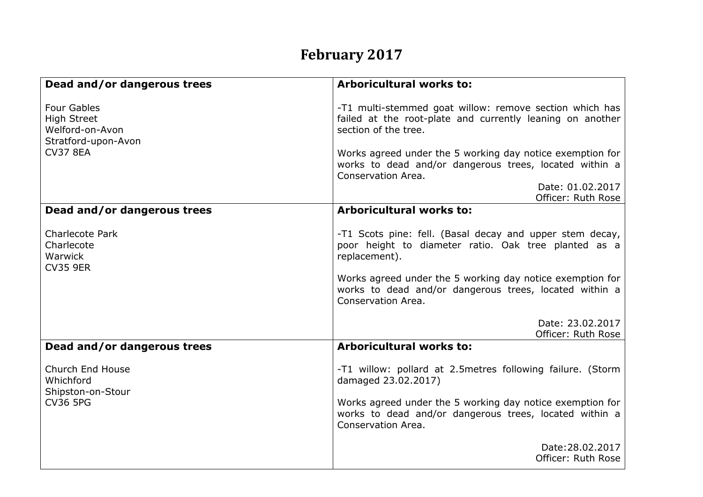## **February 2017**

| Dead and/or dangerous trees                                                                           | <b>Arboricultural works to:</b>                                                                                                              |
|-------------------------------------------------------------------------------------------------------|----------------------------------------------------------------------------------------------------------------------------------------------|
| <b>Four Gables</b><br><b>High Street</b><br>Welford-on-Avon<br>Stratford-upon-Avon<br><b>CV37 8EA</b> | -T1 multi-stemmed goat willow: remove section which has<br>failed at the root-plate and currently leaning on another<br>section of the tree. |
|                                                                                                       | Works agreed under the 5 working day notice exemption for<br>works to dead and/or dangerous trees, located within a<br>Conservation Area.    |
|                                                                                                       | Date: 01.02.2017                                                                                                                             |
| Dead and/or dangerous trees                                                                           | Officer: Ruth Rose<br><b>Arboricultural works to:</b>                                                                                        |
|                                                                                                       |                                                                                                                                              |
| <b>Charlecote Park</b><br>Charlecote<br>Warwick<br><b>CV35 9ER</b>                                    | -T1 Scots pine: fell. (Basal decay and upper stem decay,<br>poor height to diameter ratio. Oak tree planted as a<br>replacement).            |
|                                                                                                       | Works agreed under the 5 working day notice exemption for<br>works to dead and/or dangerous trees, located within a<br>Conservation Area.    |
|                                                                                                       | Date: 23.02.2017<br>Officer: Ruth Rose                                                                                                       |
| Dead and/or dangerous trees                                                                           | <b>Arboricultural works to:</b>                                                                                                              |
| Church End House<br>Whichford<br>Shipston-on-Stour<br><b>CV36 5PG</b>                                 | -T1 willow: pollard at 2.5metres following failure. (Storm<br>damaged 23.02.2017)                                                            |
|                                                                                                       | Works agreed under the 5 working day notice exemption for<br>works to dead and/or dangerous trees, located within a<br>Conservation Area.    |
|                                                                                                       | Date: 28.02.2017<br>Officer: Ruth Rose                                                                                                       |